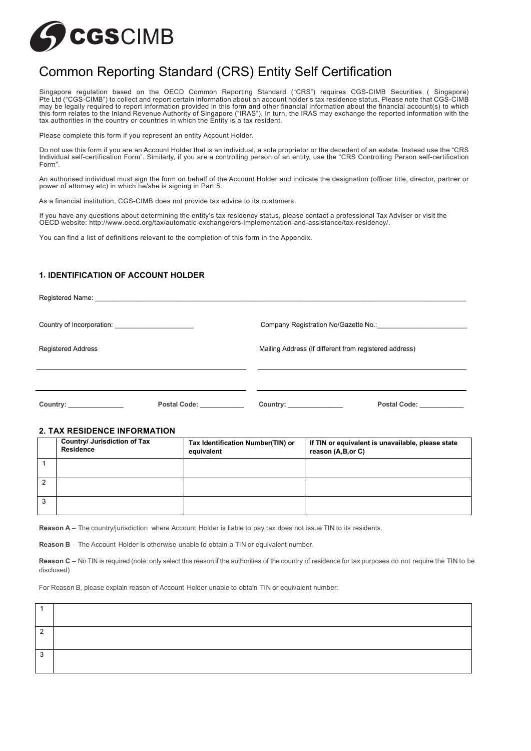

# Common Reporting Standard (CRS) Entity Self Certification

Singapore regulation based on the OECD Common Reporting Standard ("CRS") requires CGS-CIMB Securities ( Singapore) Pte Ltd ("CGS-CIMB") to collect and report certain information about an account holder's tax residence status. Please note that CGS-CIMB may be legally required to report information provided in this form and other financial information about the financial account(s) to which<br>this form relates to the Inland Revenue Authority of Singapore ("IRAS"). In turn, tax authorities in the country or countries in which the Entity is a tax resident.

Please complete this form if you represent an entity Account Holder.

Do not use this form if you are an Account Holder that is an individual, a sole proprietor or the decedent of an estate. Instead use the "CRS Individual self-certification Form". Similarly, if you are a controlling person of an entity, use the "CRS Controlling Person self-certification Form".

An authorised individual must sign the form on behalf of the Account Holder and indicate the designation (officer title, director, partner or power of attorney etc) in which he/she is signing in Part 5.

As a financial institution, CGS-CIMB does not provide tax advice to its customers.

If you have any questions about determining the entity's tax residency status, please contact a professional Tax Adviser or visit the OECD website: http://www.oecd.org/tax/automatic-exchange/crs-implementation-and-assistance/tax-residency/.

You can find a list of definitions relevant to the completion of this form in the Appendix.

# **1. IDENTIFICATION OF ACCOUNT HOLDER**

3

|                           | Registered Name: Name: Name and Security and Security and Security and Security and Security and Security and Security and Security and Security and Security and Security and Security and Security and Security and Security |                                                 |                                                                     |                                                                        |  |  |  |
|---------------------------|--------------------------------------------------------------------------------------------------------------------------------------------------------------------------------------------------------------------------------|-------------------------------------------------|---------------------------------------------------------------------|------------------------------------------------------------------------|--|--|--|
|                           |                                                                                                                                                                                                                                |                                                 | Company Registration No/Gazette No.:                                |                                                                        |  |  |  |
| <b>Registered Address</b> |                                                                                                                                                                                                                                |                                                 | Mailing Address (If different from registered address)              |                                                                        |  |  |  |
|                           |                                                                                                                                                                                                                                |                                                 |                                                                     |                                                                        |  |  |  |
| Country: _______________  |                                                                                                                                                                                                                                | Postal Code: New York Postal Code:              | Postal Code: _____________<br>Country: <u>_____________________</u> |                                                                        |  |  |  |
|                           | <b>2. TAX RESIDENCE INFORMATION</b>                                                                                                                                                                                            |                                                 |                                                                     |                                                                        |  |  |  |
|                           | Country/ Jurisdiction of Tax<br><b>Residence</b>                                                                                                                                                                               | Tax Identification Number(TIN) or<br>equivalent |                                                                     | If TIN or equivalent is unavailable, please state<br>reason (A,B,or C) |  |  |  |
| $\mathbf{1}$              |                                                                                                                                                                                                                                |                                                 |                                                                     |                                                                        |  |  |  |
| 2                         |                                                                                                                                                                                                                                |                                                 |                                                                     |                                                                        |  |  |  |

**Reason A** – The country/jurisdiction where Account Holder is liable to pay tax does not issue TIN to its residents.

**Reason B** – The Account Holder is otherwise unable to obtain a TIN or equivalent number.

**Reason C** – No TIN is required (note: only select this reason if the authorities of the country of residence for tax purposes do not require the TIN to be disclosed)

For Reason B, please explain reason of Account Holder unable to obtain TIN or equivalent number:

| $\sim$ |  |
|--------|--|
| $\sim$ |  |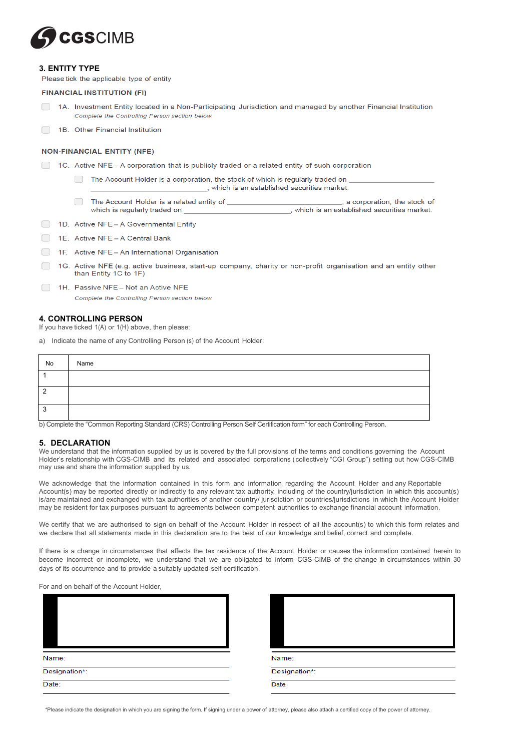

**3. ENTITY TYPE**<br>Please tick the applicable type of entity

#### **FINANCIAL INSTITUTION (FI)**

1A. Investment Entity located in a Non-Participating Jurisdiction and managed by another Financial Institution  $\Box$ Complete the Controlling Person section below

1B. Other Financial Institution

### **NON-FINANCIAL ENTITY (NFE)**

- 1C. Active NFE A corporation that is publicly traded or a related entity of such corporation
	- The Account Holder is a corporation, the stock of which is regularly traded on which is an established securities market.
	- The Account Holder is a related entity of  $\Box$ a corporation, the stock of which is regularly traded on \_, which is an established securities market.
- 1D. Active NFE A Governmental Entity  $\Box$
- 1E. Active NFE A Central Bank
- 1F. Active NFE An International Organisation  $\Box$
- 1G. Active NFE (e.g. active business, start-up company, charity or non-profit organisation and an entity other than Entity 1C to 1F)
- 1H. Passive NFE Not an Active NFE  $\Box$ Complete the Controlling Person section below

# **4. CONTROLLING PERSON**

If you have ticked 1(A) or 1(H) above, then please:

a) Indicate the name of any Controlling Person (s) of the Account Holder:

|  | No | Name |
|--|----|------|
|  |    |      |
|  |    |      |
|  |    |      |

b) Complete the "Common Reporting Standard (CRS) Controlling Person Self Certification form" for each Controlling Person.

# **5. DECLARATION**

We understand that the information supplied by us is covered by the full provisions of the terms and conditions governing the Account Holder's relationship with CGS-CIMB and its related and associated corporations (collectively "CGI Group") setting out how CGS-CIMB may use and share the information supplied by us.

We acknowledge that the information contained in this form and information regarding the Account Holder and any Reportable Account(s) may be reported directly or indirectly to any relevant tax authority, including of the country/jurisdiction in which this account(s) is/are maintained and exchanged with tax authorities of another country/ jurisdiction or countries/jurisdictions in which the Account Holder may be resident for tax purposes pursuant to agreements between competent authorities to exchange financial account information.

We certify that we are authorised to sign on behalf of the Account Holder in respect of all the account(s) to which this form relates and we declare that all statements made in this declaration are to the best of our knowledge and belief, correct and complete.

If there is a change in circumstances that affects the tax residence of the Account Holder or causes the information contained herein to become incorrect or incomplete, we understand that we are obligated to inform CGS-CIMB of the change in circumstances within 30 days of its occurrence and to provide a suitably updated self-certification.

For and on behalf of the Account Holder,





Name:

Designation\*: Date:

Date

\*Please indicate the designation in which you are signing the form. If signing under a power of attorney, please also attach a certified copy of the power of attorney.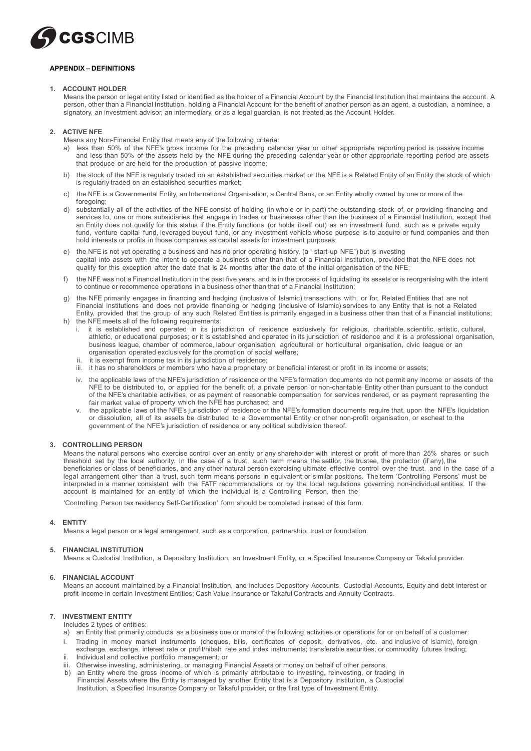

# **APPENDIX – DEFINITIONS**

#### **1. ACCOUNT HOLDER**

Means the person or legal entity listed or identified as the holder of a Financial Account by the Financial Institution that maintains the account. A person, other than a Financial Institution, holding a Financial Account for the benefit of another person as an agent, a custodian, a nominee, a signatory, an investment advisor, an intermediary, or as a legal guardian, is not treated as the Account Holder.

#### **2. ACTIVE NFE**

Means any Non-Financial Entity that meets any of the following criteria:

- a) less than 50% of the NFE's gross income for the preceding calendar year or other appropriate reporting period is passive income and less than 50% of the assets held by the NFE during the preceding calendar year or other appropriate reporting period are assets that produce or are held for the production of passive income;
- b) the stock of the NFE is regularly traded on an established securities market or the NFE is a Related Entity of an Entity the stock of which is regularly traded on an established securities market;
- c) the NFE is a Governmental Entity, an International Organisation, a Central Bank, or an Entity wholly owned by one or more of the foregoing
- d) substantially all of the activities of the NFE consist of holding (in whole or in part) the outstanding stock of, or providing financing and services to, one or more subsidiaries that engage in trades or businesses other than the business of a Financial Institution, except that an Entity does not qualify for this status if the Entity functions (or holds itself out) as an investment fund, such as a private equity fund, venture capital fund, leveraged buyout fund, or any investment vehicle whose purpose is to acquire or fund companies and then hold interests or profits in those companies as capital assets for investment purposes;
- e) the NFE is not yet operating a business and has no prior operating history, (a " start-up NFE") but is investing capital into assets with the intent to operate a business other than that of a Financial Institution, provided that the NFE does not qualify for this exception after the date that is 24 months after the date of the initial organisation of the NFE;
- f) the NFE was not a Financial Institution in the past five years, and is in the process of liquidating its assets or is reorganising with the intent to continue or recommence operations in a business other than that of a Financial Institution;
- g) the NFE primarily engages in financing and hedging (inclusive of Islamic) transactions with, or for, Related Entities that are not Financial Institutions and does not provide financing or hedging (inclusive of Islamic) services to any Entity that is not a Related Entity, provided that the group of any such Related Entities is primarily engaged in a business other than that of a Financial institutions;
- h) the NFE meets all of the following requirements:
	- i. it is established and operated in its jurisdiction of residence exclusively for religious, charitable, scientific, artistic, cultural, athletic, or educational purposes; or it is established and operated in its jurisdiction of residence and it is a professional organisation, business league, chamber of commerce, labour organisation, agricultural or horticultural organisation, civic league or an organisation operated exclusively for the promotion of social welfare;
	- it is exempt from income tax in its jurisdiction of residence;
	- iii. it has no shareholders or members who have a proprietary or beneficial interest or profit in its income or assets;
	- iv. the applicable laws of the NFE's jurisdiction of residence or the NFE's formation documents do not permit any income or assets of the NFE to be distributed to, or applied for the benefit of, a private person or non-charitable Entity other than pursuant to the conduct of the NFE's charitable activities, or as payment of reasonable compensation for services rendered, or as payment representing the fair market value of property which the NFE has purchased; and
	- v. the applicable laws of the NFE's jurisdiction of residence or the NFE's formation documents require that, upon the NFE's liquidation or dissolution, all of its assets be distributed to a Governmental Entity or other non-profit organisation, or escheat to the government of the NFE's jurisdiction of residence or any political subdivision thereof.

#### **3. CONTROLLING PERSON**

Means the natural persons who exercise control over an entity or any shareholder with interest or profit of more than 25% shares or such threshold set by the local authority. In the case of a trust, such term means the settlor, the trustee, the protector (if any), the beneficiaries or class of beneficiaries, and any other natural person exercising ultimate effective control over the trust, and in the case of a legal arrangement other than a trust, such term means persons in equivalent or similar positions. The term 'Controlling Persons' must be interpreted in a manner consistent with the FATF recommendations or by the local regulations governing non-individual entities. If the account is maintained for an entity of which the individual is a Controlling Person, then the

'Controlling Person tax residency Self-Certification' form should be completed instead of this form.

#### **4. ENTITY**

Means a legal person or a legal arrangement, such as a corporation, partnership, trust or foundation.

#### **5. FINANCIAL INSTITUTION**

Means a Custodial Institution, a Depository Institution, an Investment Entity, or a Specified Insurance Company or Takaful provider.

#### **6. FINANCIAL ACCOUNT**

Means an account maintained by a Financial Institution, and includes Depository Accounts, Custodial Accounts, Equity and debt interest or profit income in certain Investment Entities; Cash Value Insurance or Takaful Contracts and Annuity Contracts.

#### **7. INVESTMENT ENTITY**

Includes 2 types of entities:

- a) an Entity that primarily conducts as a business one or more of the following activities or operations for or on behalf of a customer:
- i. Trading in money market instruments (cheques, bills, certificates of deposit, derivatives, etc. and inclusive of Islamic), foreign exchange, exchange, interest rate or profit/hibah rate and index instruments; transferable securities; or commodity futures trading; ii. Individual and collective portfolio management; or
- 
- iii. Otherwise investing, administering, or managing Financial Assets or money on behalf of other persons.
- b) an Entity where the gross income of which is primarily attributable to investing, reinvesting, or trading in Financial Assets where the Entity is managed by another Entity that is a Depository Institution, a Custodial Institution, a Specified Insurance Company or Takaful provider, or the first type of Investment Entity.